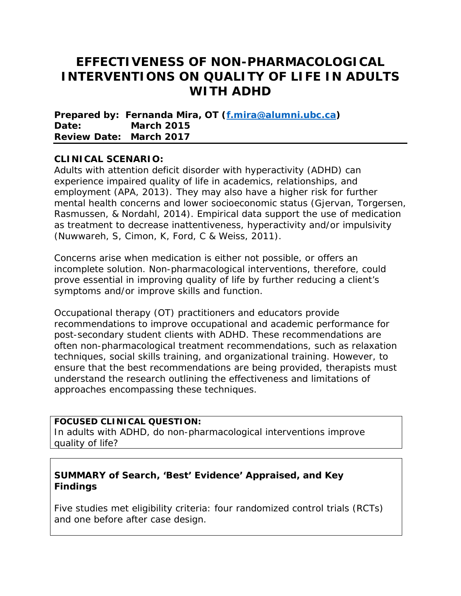# **EFFECTIVENESS OF NON-PHARMACOLOGICAL INTERVENTIONS ON QUALITY OF LIFE IN ADULTS WITH ADHD**

**Prepared by: Fernanda Mira, OT [\(f.mira@alumni.ubc.ca\)](mailto:f.mira@alumni.ubc.ca) Date: March 2015 Review Date: March 2017**

### **CLINICAL SCENARIO:**

Adults with attention deficit disorder with hyperactivity (ADHD) can experience impaired quality of life in academics, relationships, and employment (APA, 2013). They may also have a higher risk for further mental health concerns and lower socioeconomic status (Gjervan, Torgersen, Rasmussen, & Nordahl, 2014). Empirical data support the use of medication as treatment to decrease inattentiveness, hyperactivity and/or impulsivity (Nuwwareh, S, Cimon, K, Ford, C & Weiss, 2011).

Concerns arise when medication is either not possible, or offers an incomplete solution. Non-pharmacological interventions, therefore, could prove essential in improving quality of life by further reducing a client's symptoms and/or improve skills and function.

Occupational therapy (OT) practitioners and educators provide recommendations to improve occupational and academic performance for post-secondary student clients with ADHD. These recommendations are often non-pharmacological treatment recommendations, such as relaxation techniques, social skills training, and organizational training. However, to ensure that the best recommendations are being provided, therapists must understand the research outlining the effectiveness and limitations of approaches encompassing these techniques.

#### **FOCUSED CLINICAL QUESTION:**

In adults with ADHD, do non-pharmacological interventions improve quality of life?

### **SUMMARY of Search, 'Best' Evidence' Appraised, and Key Findings**

Five studies met eligibility criteria: four randomized control trials (RCTs) and one before after case design.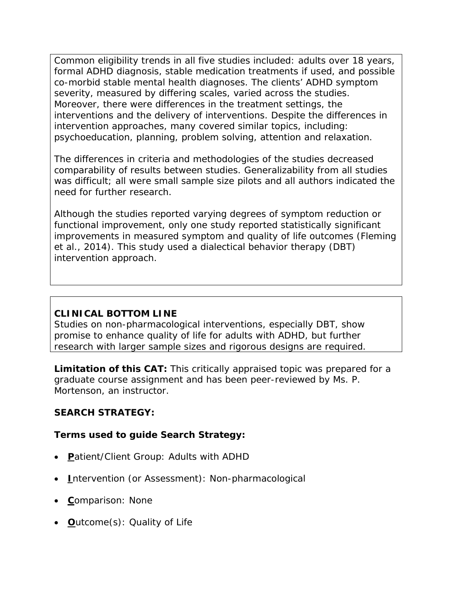Common eligibility trends in all five studies included: adults over 18 years, formal ADHD diagnosis, stable medication treatments if used, and possible co-morbid stable mental health diagnoses. The clients' ADHD symptom severity, measured by differing scales, varied across the studies. Moreover, there were differences in the treatment settings, the interventions and the delivery of interventions. Despite the differences in intervention approaches, many covered similar topics, including: psychoeducation, planning, problem solving, attention and relaxation.

The differences in criteria and methodologies of the studies decreased comparability of results between studies. Generalizability from all studies was difficult; all were small sample size pilots and all authors indicated the need for further research.

Although the studies reported varying degrees of symptom reduction or functional improvement, only one study reported statistically significant improvements in measured symptom and quality of life outcomes (Fleming et al., 2014). This study used a dialectical behavior therapy (DBT) intervention approach.

### **CLINICAL BOTTOM LINE**

Studies on non-pharmacological interventions, especially DBT, show promise to enhance quality of life for adults with ADHD, but further research with larger sample sizes and rigorous designs are required.

**Limitation of this CAT:** This critically appraised topic was prepared for a graduate course assignment and has been peer-reviewed by Ms. P. Mortenson, an instructor.

### **SEARCH STRATEGY:**

### **Terms used to guide Search Strategy:**

- **P**atient/Client Group: Adults with ADHD
- **I**ntervention (or Assessment): Non-pharmacological
- **C**omparison: None
- **O**utcome(s): Quality of Life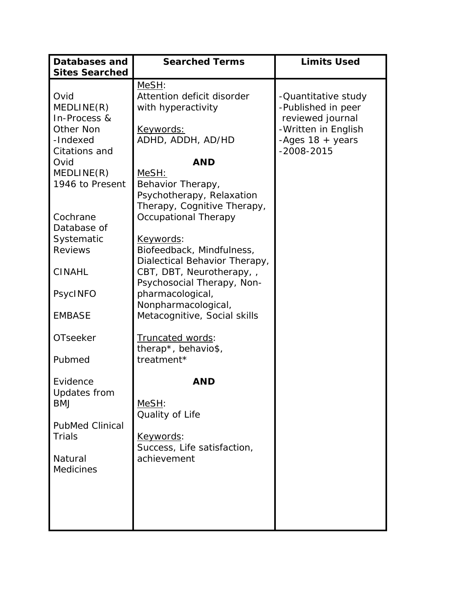| <b>Databases and</b>   | <b>Searched Terms</b>         | <b>Limits Used</b>        |
|------------------------|-------------------------------|---------------------------|
| <b>Sites Searched</b>  |                               |                           |
|                        | MeSH:                         |                           |
| Ovid                   | Attention deficit disorder    | -Quantitative study       |
| MEDLINE(R)             | with hyperactivity            | -Published in peer        |
| In-Process &           |                               | reviewed journal          |
| Other Non              | <u>Keywords:</u>              | -Written in English       |
| -Indexed               | ADHD, ADDH, AD/HD             | -Ages $18 + \text{years}$ |
| Citations and          |                               | $-2008 - 2015$            |
| Ovid                   | <b>AND</b>                    |                           |
| MEDLINE(R)             | MeSH:                         |                           |
| 1946 to Present        | Behavior Therapy,             |                           |
|                        | Psychotherapy, Relaxation     |                           |
|                        | Therapy, Cognitive Therapy,   |                           |
| Cochrane               | <b>Occupational Therapy</b>   |                           |
| Database of            |                               |                           |
| Systematic             | <u>Keywords:</u>              |                           |
| <b>Reviews</b>         | Biofeedback, Mindfulness,     |                           |
|                        | Dialectical Behavior Therapy, |                           |
| <b>CINAHL</b>          | CBT, DBT, Neurotherapy, ,     |                           |
|                        | Psychosocial Therapy, Non-    |                           |
| PsycINFO               | pharmacological,              |                           |
|                        | Nonpharmacological,           |                           |
| <b>EMBASE</b>          | Metacognitive, Social skills  |                           |
| <b>OTseeker</b>        | <b>Truncated words:</b>       |                           |
|                        | therap*, behavio\$,           |                           |
| Pubmed                 | treatment*                    |                           |
|                        |                               |                           |
| Evidence               | <b>AND</b>                    |                           |
| Updates from           |                               |                           |
| <b>BMJ</b>             | MeSH:                         |                           |
|                        | Quality of Life               |                           |
| <b>PubMed Clinical</b> |                               |                           |
| <b>Trials</b>          | Keywords:                     |                           |
|                        | Success, Life satisfaction,   |                           |
| Natural                | achievement                   |                           |
| <b>Medicines</b>       |                               |                           |
|                        |                               |                           |
|                        |                               |                           |
|                        |                               |                           |
|                        |                               |                           |
|                        |                               |                           |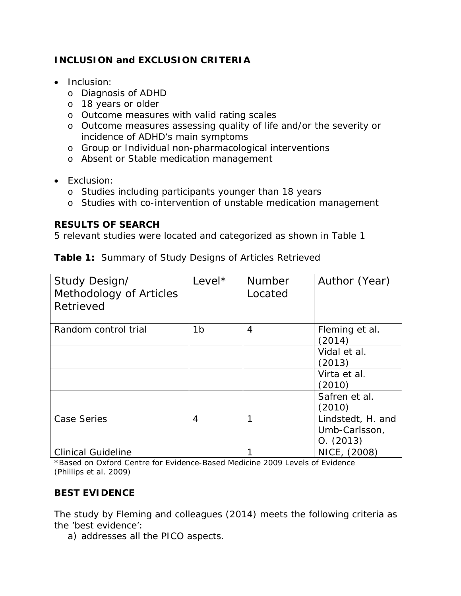## **INCLUSION and EXCLUSION CRITERIA**

- Inclusion:
	- o Diagnosis of ADHD
	- o 18 years or older
	- o Outcome measures with valid rating scales
	- o Outcome measures assessing quality of life and/or the severity or incidence of ADHD's main symptoms
	- o Group or Individual non-pharmacological interventions
	- o Absent or Stable medication management
- Exclusion:
	- o Studies including participants younger than 18 years
	- o Studies with co-intervention of unstable medication management

### **RESULTS OF SEARCH**

5 relevant studies were located and categorized as shown in Table 1

|  |  |  | <b>Table 1: Summary of Study Designs of Articles Retrieved</b> |
|--|--|--|----------------------------------------------------------------|
|--|--|--|----------------------------------------------------------------|

| Study Design/<br>Methodology of Articles<br>Retrieved | Level*         | <b>Number</b><br>Located | Author (Year)                                   |
|-------------------------------------------------------|----------------|--------------------------|-------------------------------------------------|
| Random control trial                                  | 1 <sub>b</sub> | 4                        | Fleming et al.<br>(2014)                        |
|                                                       |                |                          | Vidal et al.<br>(2013)                          |
|                                                       |                |                          | Virta et al.<br>(2010)                          |
|                                                       |                |                          | Safren et al.<br>(2010)                         |
| <b>Case Series</b>                                    | 4              | 1                        | Lindstedt, H. and<br>Umb-Carlsson,<br>O. (2013) |
| <b>Clinical Guideline</b>                             |                |                          | NICE, (2008)                                    |

\*Based on Oxford Centre for Evidence-Based Medicine 2009 Levels of Evidence (Phillips et al. 2009)

## **BEST EVIDENCE**

The study by Fleming and colleagues (2014) meets the following criteria as the 'best evidence':

a) addresses all the PICO aspects.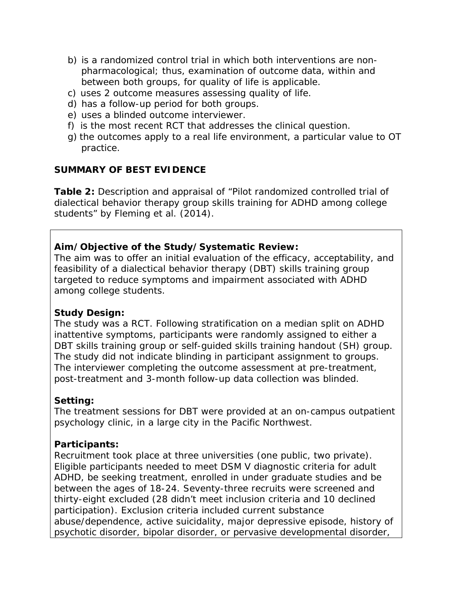- b) is a randomized control trial in which both interventions are nonpharmacological; thus, examination of outcome data, within and between both groups, for quality of life is applicable.
- c) uses 2 outcome measures assessing quality of life.
- d) has a follow-up period for both groups.
- e) uses a blinded outcome interviewer.
- f) is the most recent RCT that addresses the clinical question.
- g) the outcomes apply to a real life environment, a particular value to OT practice.

### **SUMMARY OF BEST EVIDENCE**

**Table 2:** Description and appraisal of "Pilot randomized controlled trial of dialectical behavior therapy group skills training for ADHD among college students" by Fleming et al. (2014).

#### **Aim/Objective of the Study/Systematic Review:**

The aim was to offer an initial evaluation of the efficacy, acceptability, and feasibility of a dialectical behavior therapy (DBT) skills training group targeted to reduce symptoms and impairment associated with ADHD among college students.

#### **Study Design:**

The study was a RCT. Following stratification on a median split on ADHD inattentive symptoms, participants were randomly assigned to either a DBT skills training group or self-guided skills training handout (SH) group. The study did not indicate blinding in participant assignment to groups. The interviewer completing the outcome assessment at pre-treatment, post-treatment and 3-month follow-up data collection was blinded.

### **Setting:**

The treatment sessions for DBT were provided at an on-campus outpatient psychology clinic, in a large city in the Pacific Northwest.

### **Participants:**

Recruitment took place at three universities (one public, two private). Eligible participants needed to meet DSM V diagnostic criteria for adult ADHD, be seeking treatment, enrolled in under graduate studies and be between the ages of 18-24. Seventy-three recruits were screened and thirty-eight excluded (28 didn't meet inclusion criteria and 10 declined participation). Exclusion criteria included current substance abuse/dependence, active suicidality, major depressive episode, history of psychotic disorder, bipolar disorder, or pervasive developmental disorder,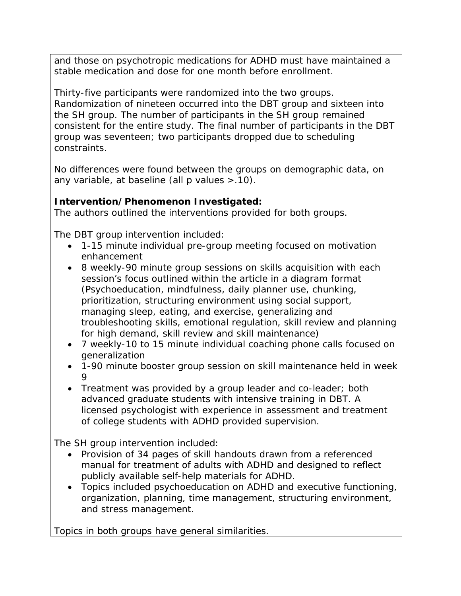and those on psychotropic medications for ADHD must have maintained a stable medication and dose for one month before enrollment.

Thirty-five participants were randomized into the two groups. Randomization of nineteen occurred into the DBT group and sixteen into the SH group. The number of participants in the SH group remained consistent for the entire study. The final number of participants in the DBT group was seventeen; two participants dropped due to scheduling constraints.

No differences were found between the groups on demographic data, on any variable, at baseline (all p values >.10).

## **Intervention/Phenomenon Investigated:**

The authors outlined the interventions provided for both groups.

The DBT group intervention included:

- 1-15 minute individual pre-group meeting focused on motivation enhancement
- 8 weekly-90 minute group sessions on skills acquisition with each session's focus outlined within the article in a diagram format (Psychoeducation, mindfulness, daily planner use, chunking, prioritization, structuring environment using social support, managing sleep, eating, and exercise, generalizing and troubleshooting skills, emotional regulation, skill review and planning for high demand, skill review and skill maintenance)
- 7 weekly-10 to 15 minute individual coaching phone calls focused on generalization
- 1-90 minute booster group session on skill maintenance held in week 9
- Treatment was provided by a group leader and co-leader; both advanced graduate students with intensive training in DBT. A licensed psychologist with experience in assessment and treatment of college students with ADHD provided supervision.

The SH group intervention included:

- Provision of 34 pages of skill handouts drawn from a referenced manual for treatment of adults with ADHD and designed to reflect publicly available self-help materials for ADHD.
- Topics included psychoeducation on ADHD and executive functioning, organization, planning, time management, structuring environment, and stress management.

Topics in both groups have general similarities.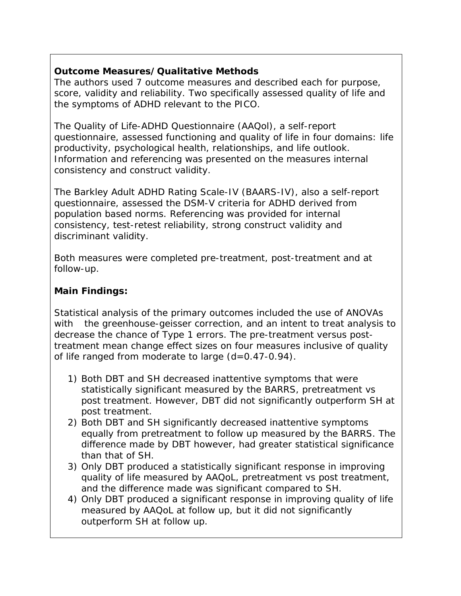## **Outcome Measures/Qualitative Methods**

The authors used 7 outcome measures and described each for purpose, score, validity and reliability. Two specifically assessed quality of life and the symptoms of ADHD relevant to the PICO.

The Quality of Life-ADHD Questionnaire (AAQol), a self-report questionnaire, assessed functioning and quality of life in four domains: life productivity, psychological health, relationships, and life outlook. Information and referencing was presented on the measures internal consistency and construct validity.

The Barkley Adult ADHD Rating Scale-IV (BAARS-IV), also a self-report questionnaire, assessed the DSM-V criteria for ADHD derived from population based norms. Referencing was provided for internal consistency, test-retest reliability, strong construct validity and discriminant validity.

Both measures were completed pre-treatment, post-treatment and at follow-up.

## **Main Findings:**

Statistical analysis of the primary outcomes included the use of ANOVAs with the greenhouse-geisser correction, and an intent to treat analysis to decrease the chance of Type 1 errors. The pre-treatment versus posttreatment mean change effect sizes on four measures inclusive of quality of life ranged from moderate to large (d=0.47-0.94).

- 1) Both DBT and SH decreased inattentive symptoms that were statistically significant measured by the BARRS, pretreatment vs post treatment. However, DBT did not significantly outperform SH at post treatment.
- 2) Both DBT and SH significantly decreased inattentive symptoms equally from pretreatment to follow up measured by the BARRS. The difference made by DBT however, had greater statistical significance than that of SH.
- 3) Only DBT produced a statistically significant response in improving quality of life measured by AAQoL, pretreatment vs post treatment, and the difference made was significant compared to SH.
- 4) Only DBT produced a significant response in improving quality of life measured by AAQoL at follow up, but it did not significantly outperform SH at follow up.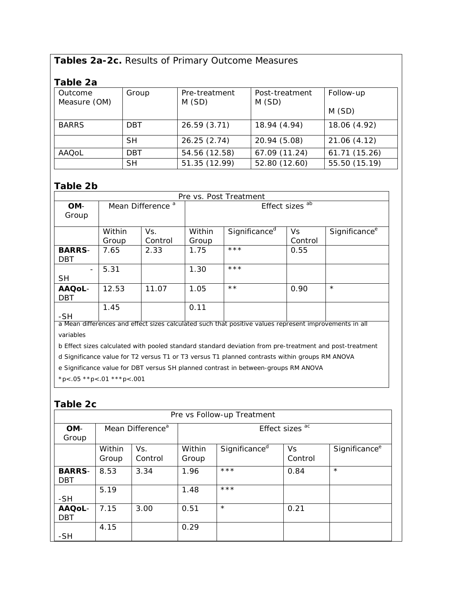## **Tables 2a-2c.** Results of Primary Outcome Measures

## **Table 2a**

| apie za                 |            |                        |                         |               |
|-------------------------|------------|------------------------|-------------------------|---------------|
| Outcome<br>Measure (OM) | Group      | Pre-treatment<br>M(SD) | Post-treatment<br>M(SD) | Follow-up     |
|                         |            |                        |                         | M(SD)         |
| <b>BARRS</b>            | <b>DBT</b> | 26.59 (3.71)           | 18.94 (4.94)            | 18.06 (4.92)  |
|                         | <b>SH</b>  | 26.25(2.74)            | 20.94 (5.08)            | 21.06 (4.12)  |
| AAQoL                   | DBT.       | 54.56 (12.58)          | 67.09 (11.24)           | 61.71 (15.26) |
|                         | <b>SH</b>  | 51.35 (12.99)          | 52.80 (12.60)           | 55.50 (15.19) |

#### **Table 2b**

| Pre vs. Post Treatment                                                                                 |                              |                |                 |                           |               |                           |
|--------------------------------------------------------------------------------------------------------|------------------------------|----------------|-----------------|---------------------------|---------------|---------------------------|
| OM-<br>Group                                                                                           | Mean Difference <sup>a</sup> |                | Effect sizes ab |                           |               |                           |
|                                                                                                        | Within<br>Group              | Vs.<br>Control | Within<br>Group | Significance <sup>d</sup> | Vs<br>Control | Significance <sup>e</sup> |
| <b>BARRS-</b><br><b>DBT</b>                                                                            | 7.65                         | 2.33           | 1.75            | $***$                     | 0.55          |                           |
| $\blacksquare$<br><b>SH</b>                                                                            | 5.31                         |                | 1.30            | $***$                     |               |                           |
| AAQoL-<br><b>DBT</b>                                                                                   | 12.53                        | 11.07          | 1.05            | $\star\star$              | 0.90          | $\star$                   |
| -SH                                                                                                    | 1.45                         |                | 0.11            |                           |               |                           |
| a Mean differences and effect sizes calculated such that positive values represent improvements in all |                              |                |                 |                           |               |                           |

a Mean differences and effect sizes calculated such that positive values represent improvements in all variables

b Effect sizes calculated with pooled standard standard deviation from pre-treatment and post-treatment

d Significance value for T2 versus T1 or T3 versus T1 planned contrasts within groups RM ANOVA

e Significance value for DBT versus SH planned contrast in between-groups RM ANOVA

 $*p$  <.05  $*p$  <.01  $**p$  <.001

### **Table 2c**

| Pre vs Follow-up Treatment  |                              |                |                 |                           |               |                           |  |
|-----------------------------|------------------------------|----------------|-----------------|---------------------------|---------------|---------------------------|--|
| OM-<br>Group                | Mean Difference <sup>a</sup> |                | Effect sizes ac |                           |               |                           |  |
|                             | Within<br>Group              | Vs.<br>Control | Within<br>Group | Significance <sup>d</sup> | Vs<br>Control | Significance <sup>e</sup> |  |
| <b>BARRS-</b><br><b>DBT</b> | 8.53                         | 3.34           | 1.96            | $***$                     | 0.84          | $\star$                   |  |
| -SH                         | 5.19                         |                | 1.48            | $***$                     |               |                           |  |
| AAQoL-<br><b>DBT</b>        | 7.15                         | 3.00           | 0.51            | $\star$                   | 0.21          |                           |  |
| -SH                         | 4.15                         |                | 0.29            |                           |               |                           |  |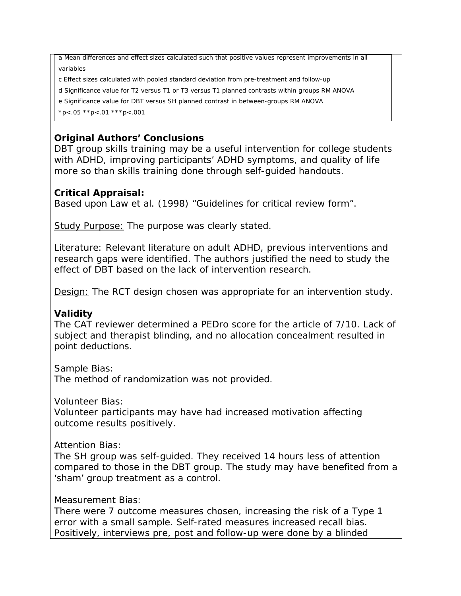a Mean differences and effect sizes calculated such that positive values represent improvements in all variables

c Effect sizes calculated with pooled standard deviation from pre-treatment and follow-up

d Significance value for T2 versus T1 or T3 versus T1 planned contrasts within groups RM ANOVA

e Significance value for DBT versus SH planned contrast in between-groups RM ANOVA

 $*p$  <.05  $*p$  <.01  $**p$  <.001

## **Original Authors' Conclusions**

DBT group skills training may be a useful intervention for college students with ADHD, improving participants' ADHD symptoms, and quality of life more so than skills training done through self-guided handouts.

### **Critical Appraisal:**

Based upon Law et al. (1998) "Guidelines for critical review form".

Study Purpose: The purpose was clearly stated.

Literature: Relevant literature on adult ADHD, previous interventions and research gaps were identified. The authors justified the need to study the effect of DBT based on the lack of intervention research.

Design: The RCT design chosen was appropriate for an intervention study.

### **Validity**

The CAT reviewer determined a PEDro score for the article of 7/10. Lack of subject and therapist blinding, and no allocation concealment resulted in point deductions.

*Sample Bias*:

The method of randomization was not provided.

*Volunteer Bias:*

Volunteer participants may have had increased motivation affecting outcome results positively.

### *Attention Bias:*

The SH group was self-guided. They received 14 hours less of attention compared to those in the DBT group. The study may have benefited from a 'sham' group treatment as a control.

#### *Measurement Bias:*

There were 7 outcome measures chosen, increasing the risk of a Type 1 error with a small sample. Self-rated measures increased recall bias. Positively, interviews pre, post and follow-up were done by a blinded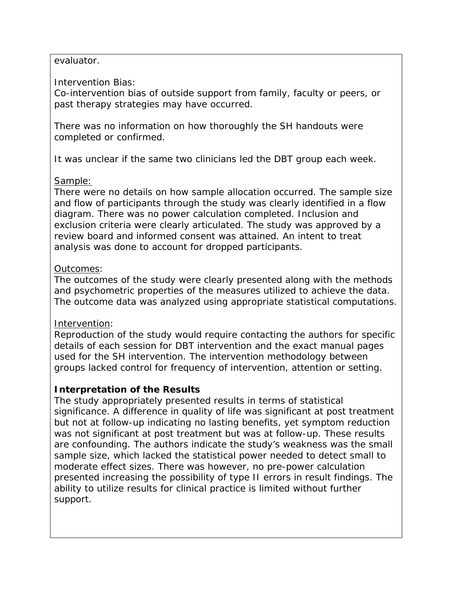#### evaluator.

#### *Intervention Bias:*

Co-intervention bias of outside support from family, faculty or peers, or past therapy strategies may have occurred.

There was no information on how thoroughly the SH handouts were completed or confirmed.

It was unclear if the same two clinicians led the DBT group each week.

### Sample:

There were no details on how sample allocation occurred. The sample size and flow of participants through the study was clearly identified in a flow diagram. There was no power calculation completed. Inclusion and exclusion criteria were clearly articulated. The study was approved by a review board and informed consent was attained. An intent to treat analysis was done to account for dropped participants.

### Outcomes:

The outcomes of the study were clearly presented along with the methods and psychometric properties of the measures utilized to achieve the data. The outcome data was analyzed using appropriate statistical computations.

### Intervention:

Reproduction of the study would require contacting the authors for specific details of each session for DBT intervention and the exact manual pages used for the SH intervention. The intervention methodology between groups lacked control for frequency of intervention, attention or setting.

## **Interpretation of the Results**

The study appropriately presented results in terms of statistical significance. A difference in quality of life was significant at post treatment but not at follow-up indicating no lasting benefits, yet symptom reduction was not significant at post treatment but was at follow-up. These results are confounding. The authors indicate the study's weakness was the small sample size, which lacked the statistical power needed to detect small to moderate effect sizes. There was however, no pre-power calculation presented increasing the possibility of type II errors in result findings. The ability to utilize results for clinical practice is limited without further support.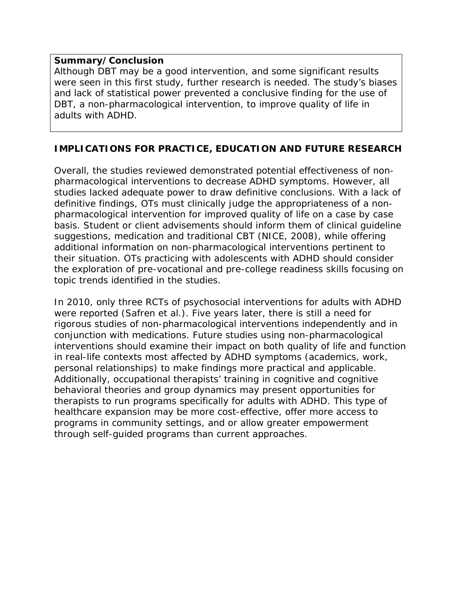#### **Summary/Conclusion**

Although DBT may be a good intervention, and some significant results were seen in this first study, further research is needed. The study's biases and lack of statistical power prevented a conclusive finding for the use of DBT, a non-pharmacological intervention, to improve quality of life in adults with ADHD.

### **IMPLICATIONS FOR PRACTICE, EDUCATION AND FUTURE RESEARCH**

Overall, the studies reviewed demonstrated potential effectiveness of nonpharmacological interventions to decrease ADHD symptoms. However, all studies lacked adequate power to draw definitive conclusions. With a lack of definitive findings, OTs must clinically judge the appropriateness of a nonpharmacological intervention for improved quality of life on a case by case basis. Student or client advisements should inform them of clinical guideline suggestions, medication and traditional CBT (NICE, 2008), while offering additional information on non-pharmacological interventions pertinent to their situation. OTs practicing with adolescents with ADHD should consider the exploration of pre-vocational and pre-college readiness skills focusing on topic trends identified in the studies.

In 2010, only three RCTs of psychosocial interventions for adults with ADHD were reported (Safren et al.). Five years later, there is still a need for rigorous studies of non-pharmacological interventions independently and in conjunction with medications. Future studies using non-pharmacological interventions should examine their impact on both quality of life and function in real-life contexts most affected by ADHD symptoms (academics, work, personal relationships) to make findings more practical and applicable. Additionally, occupational therapists' training in cognitive and cognitive behavioral theories and group dynamics may present opportunities for therapists to run programs specifically for adults with ADHD. This type of healthcare expansion may be more cost-effective, offer more access to programs in community settings, and or allow greater empowerment through self-guided programs than current approaches.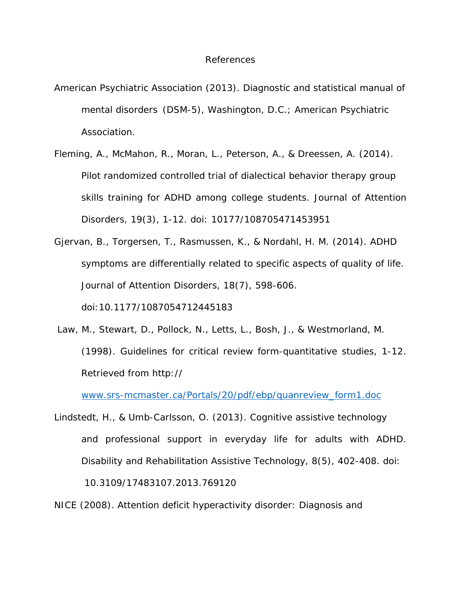#### References

- American Psychiatric Association (2013). *Diagnostic and statistical manual of mental disorders (DSM-5)*, Washington, D.C.; American Psychiatric Association.
- Fleming, A., McMahon, R., Moran, L., Peterson, A., & Dreessen, A. (2014). Pilot randomized controlled trial of dialectical behavior therapy group skills training for ADHD among college students. *Journal of Attention Disorders,* 19(3), 1-12. doi: 10177/108705471453951
- Gjervan, B., Torgersen, T., Rasmussen, K., & Nordahl, H. M. (2014). ADHD symptoms are differentially related to specific aspects of quality of life. *Journal of Attention Disorders*, 18(7), 598-606. doi:10.1177/1087054712445183
- Law, M., Stewart, D., Pollock, N., Letts, L., Bosh, J., & Westmorland, M. (1998). Guidelines for critical review form-quantitative studies, 1-12. Retrieved from http://

[www.srs-mcmaster.ca/Portals/20/pdf/ebp/quanreview\\_form1.doc](http://www.srs-mcmaster.ca/Portals/20/pdf/ebp/quanreview_form1.doc)

Lindstedt, H., & Umb-Carlsson, O. (2013). Cognitive assistive technology and professional support in everyday life for adults with ADHD. *Disability and Rehabilitation Assistive Technology,* 8(5), 402-408. doi: 10.3109/17483107.2013.769120

NICE (2008). *Attention deficit hyperactivity disorder: Diagnosis and*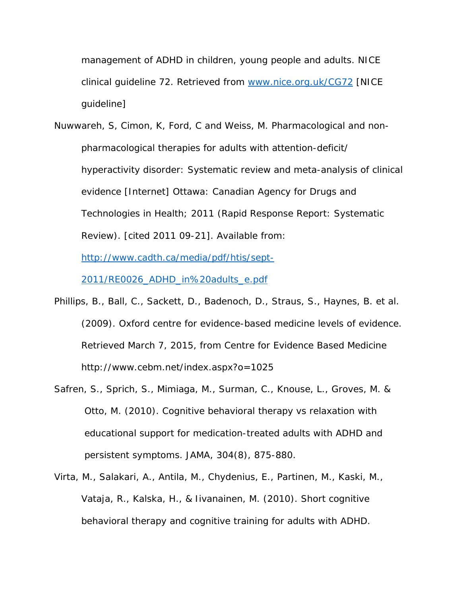*management of ADHD in children, young people and adults.* NICE clinical guideline 72. Retrieved from [www.nice.org.uk/CG72](http://www.nice.org.uk/CG72) [NICE guideline]

Nuwwareh, S, Cimon, K, Ford, C and Weiss, M. *Pharmacological and nonpharmacological therapies for adults with attention-deficit/ hyperactivity disorder: Systematic review and meta-analysis of clinical evidence* [Internet] Ottawa: Canadian Agency for Drugs and Technologies in Health; 2011 (Rapid Response Report: Systematic Review). [cited 2011 09-21]. Available from:

[http://www.cadth.ca/media/pdf/htis/sept-](http://www.cadth.ca/media/pdf/htis/sept-2011/RE0026_ADHD_in%20adults_e.pdf)

[2011/RE0026\\_ADHD\\_in%20adults\\_e.pdf](http://www.cadth.ca/media/pdf/htis/sept-2011/RE0026_ADHD_in%20adults_e.pdf)

- Phillips, B., Ball, C., Sackett, D., Badenoch, D., Straus, S., Haynes, B. et al. (2009). *Oxford centre for evidence-based medicine levels of evidence*. Retrieved March 7, 2015, from Centre for Evidence Based Medicine http://www.cebm.net/index.aspx?o=1025
- Safren, S., Sprich, S., Mimiaga, M., Surman, C., Knouse, L., Groves, M. & Otto, M. (2010). Cognitive behavioral therapy vs relaxation with educational support for medication-treated adults with ADHD and persistent symptoms. *JAMA*, 304(8), 875-880.
- Virta, M., Salakari, A., Antila, M., Chydenius, E., Partinen, M., Kaski, M., Vataja, R., Kalska, H., & Iivanainen, M. (2010). Short cognitive behavioral therapy and cognitive training for adults with ADHD.